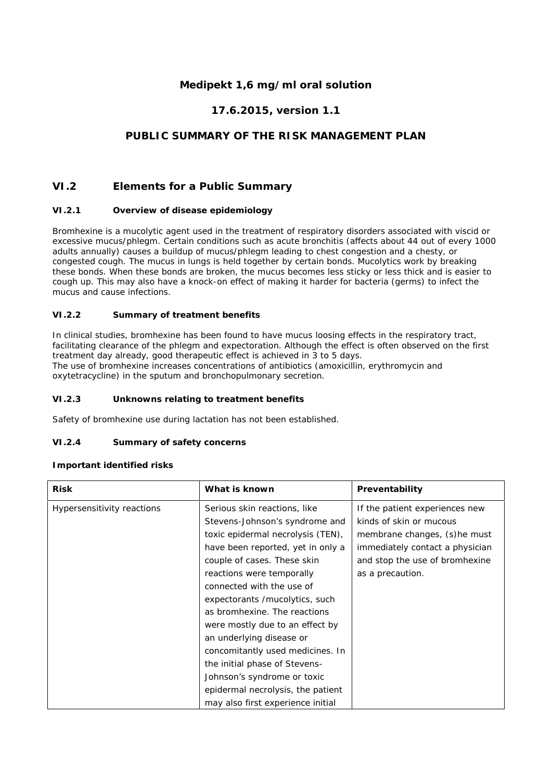# **Medipekt 1,6 mg/ml oral solution**

# **17.6.2015, version 1.1**

# **PUBLIC SUMMARY OF THE RISK MANAGEMENT PLAN**

## **VI.2 Elements for a Public Summary**

#### *VI.2.1 Overview of disease epidemiology*

Bromhexine is a mucolytic agent used in the treatment of respiratory disorders associated with viscid or excessive mucus/phlegm. Certain conditions such as acute bronchitis (affects about 44 out of every 1000 adults annually) causes a buildup of mucus/phlegm leading to chest congestion and a chesty, or congested cough. The mucus in lungs is held together by certain bonds. Mucolytics work by breaking these bonds. When these bonds are broken, the mucus becomes less sticky or less thick and is easier to cough up. This may also have a knock-on effect of making it harder for bacteria (germs) to infect the mucus and cause infections.

#### *VI.2.2 Summary of treatment benefits*

In clinical studies, bromhexine has been found to have mucus loosing effects in the respiratory tract, facilitating clearance of the phlegm and expectoration. Although the effect is often observed on the first treatment day already, good therapeutic effect is achieved in 3 to 5 days. The use of bromhexine increases concentrations of antibiotics (amoxicillin, erythromycin and oxytetracycline) in the sputum and bronchopulmonary secretion.

#### *VI.2.3 Unknowns relating to treatment benefits*

Safety of bromhexine use during lactation has not been established.

### *VI.2.4 Summary of safety concerns*

#### **Important identified risks**

| Risk                       | What is known                     | Preventability                  |
|----------------------------|-----------------------------------|---------------------------------|
| Hypersensitivity reactions | Serious skin reactions, like      | If the patient experiences new  |
|                            | Stevens-Johnson's syndrome and    | kinds of skin or mucous         |
|                            | toxic epidermal necrolysis (TEN), | membrane changes, (s)he must    |
|                            | have been reported, yet in only a | immediately contact a physician |
|                            | couple of cases. These skin       | and stop the use of bromhexine  |
|                            | reactions were temporally         | as a precaution.                |
|                            | connected with the use of         |                                 |
|                            | expectorants /mucolytics, such    |                                 |
|                            | as bromhexine. The reactions      |                                 |
|                            | were mostly due to an effect by   |                                 |
|                            | an underlying disease or          |                                 |
|                            | concomitantly used medicines. In  |                                 |
|                            | the initial phase of Stevens-     |                                 |
|                            | Johnson's syndrome or toxic       |                                 |
|                            | epidermal necrolysis, the patient |                                 |
|                            | may also first experience initial |                                 |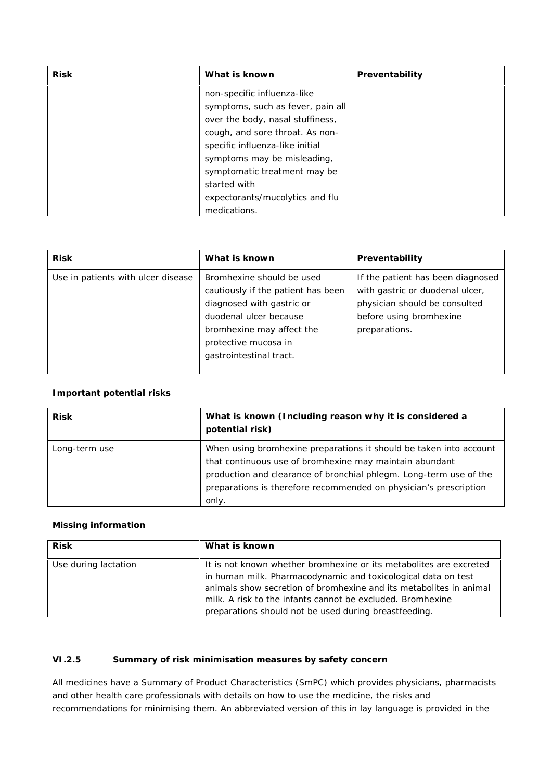| <b>Risk</b> | What is known                     | Preventability |
|-------------|-----------------------------------|----------------|
|             | non-specific influenza-like       |                |
|             | symptoms, such as fever, pain all |                |
|             | over the body, nasal stuffiness,  |                |
|             | cough, and sore throat. As non-   |                |
|             | specific influenza-like initial   |                |
|             | symptoms may be misleading,       |                |
|             | symptomatic treatment may be      |                |
|             | started with                      |                |
|             | expectorants/mucolytics and flu   |                |
|             | medications.                      |                |

| <b>Risk</b>                        | What is known                                                                                                                                                                                          | Preventability                                                                                                                                    |
|------------------------------------|--------------------------------------------------------------------------------------------------------------------------------------------------------------------------------------------------------|---------------------------------------------------------------------------------------------------------------------------------------------------|
| Use in patients with ulcer disease | Bromhexine should be used<br>cautiously if the patient has been<br>diagnosed with gastric or<br>duodenal ulcer because<br>bromhexine may affect the<br>protective mucosa in<br>gastrointestinal tract. | If the patient has been diagnosed<br>with gastric or duodenal ulcer,<br>physician should be consulted<br>before using bromhexine<br>preparations. |

## **Important potential risks**

| <b>Risk</b>   | What is known (Including reason why it is considered a<br>potential risk)                                                                                                                                                                                                         |
|---------------|-----------------------------------------------------------------------------------------------------------------------------------------------------------------------------------------------------------------------------------------------------------------------------------|
| Long-term use | When using bromhexine preparations it should be taken into account<br>that continuous use of bromhexine may maintain abundant<br>production and clearance of bronchial phlegm. Long-term use of the<br>preparations is therefore recommended on physician's prescription<br>only. |

## **Missing information**

| <b>Risk</b>          | What is known                                                                                                                                                                                                                                                                                                                    |
|----------------------|----------------------------------------------------------------------------------------------------------------------------------------------------------------------------------------------------------------------------------------------------------------------------------------------------------------------------------|
| Use during lactation | It is not known whether bromhexine or its metabolites are excreted<br>in human milk. Pharmacodynamic and toxicological data on test<br>animals show secretion of bromhexine and its metabolites in animal<br>milk. A risk to the infants cannot be excluded. Bromhexine<br>preparations should not be used during breastfeeding. |

## *VI.2.5 Summary of risk minimisation measures by safety concern*

All medicines have a Summary of Product Characteristics (SmPC) which provides physicians, pharmacists and other health care professionals with details on how to use the medicine, the risks and recommendations for minimising them. An abbreviated version of this in lay language is provided in the